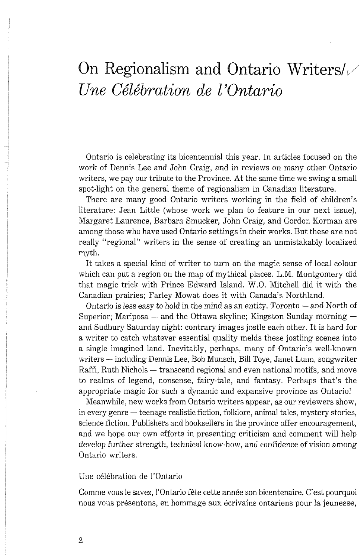## On Regionalism and Ontario Writers/<br>*Une Célébration de l'Ontario*

Ontario is celebrating its bicentennial this year. In articles focused on the work of Dennis Lee and John Craig, and in reviews on many other Ontario writers, we pay our tribute to the Province. At the same time we swing a small spot-light on the general theme of regionalism in Canadian literature.

There are many good Ontario writers working in the field of children's literature: Jean Little (whose work we plan to feature in our next issue), Margaret Laurence, Barbara Smucker, John Craig, and Gordon Korman are among those who have used Ontario settings in their works. But these are not really "regional" writers in the sense of creating an unmistakably localized myth.

It takes a special kind of writer to turn on the magic sense of local colour which can put a region on the map of mythical places. L.M. Montgomery did that magic trick with Prince Edward Island. W.O. Mitchell did it with the Canadian prairies; Farley Mowat does it with Canada's Northland.

anadian prairies; Farley Mowat does it with Canada's Northland.<br>Ontario is less easy to hold in the mind as an entity. Toronto — and North of Ontario is less easy to hold in the mind as an entity. To<br>ronto  $-$  and North of Superior; Mariposa<br> $-$  and the Ottawa skyline; Kingston Sunday morning<br> $-\,$ and Sudbury Saturday night: contrary images jostle each other. It is hard for a writer to catch whatever essential quality melds these jostling scenes into a single imagined land. Inevitably, perhaps, many of Ontario's well-known a single imagined land. Inevitably, perhaps, many of Ontario's well-known<br>writers — including Dennis Lee, Bob Munsch, Bill Toye, Janet Lunn, songwriter writers — including Dennis Lee, Bob Munsch, Bill Toye, Janet Lunn, songwriter<br>Raffi, Ruth Nichols — transcend regional and even national motifs, and move to realms of legend, nonsense, fairy-tale, and fantasy. Perhaps that's the appropriate magic for such a dynamic and expansive province as Ontario!

Meanwhile, new works from Ontario writers appear, as our reviewers show, in every genre - teenage realistic fiction, folklore, animal tales, mystery stories, science fiction. Publishers and booksellers in the province offer encouragement, and we hope our own efforts in presenting criticism and comment will help develop further strength, technical know-how, and confidence of vision among Ontario writers.

## Une célébration de l'Ontario

Comme vous le savez, l'Ontario fête cette année son bicentenaire. C'est pourquoi nous vous présentons, en hommage aux écrivains ontariens pour la jeunesse,